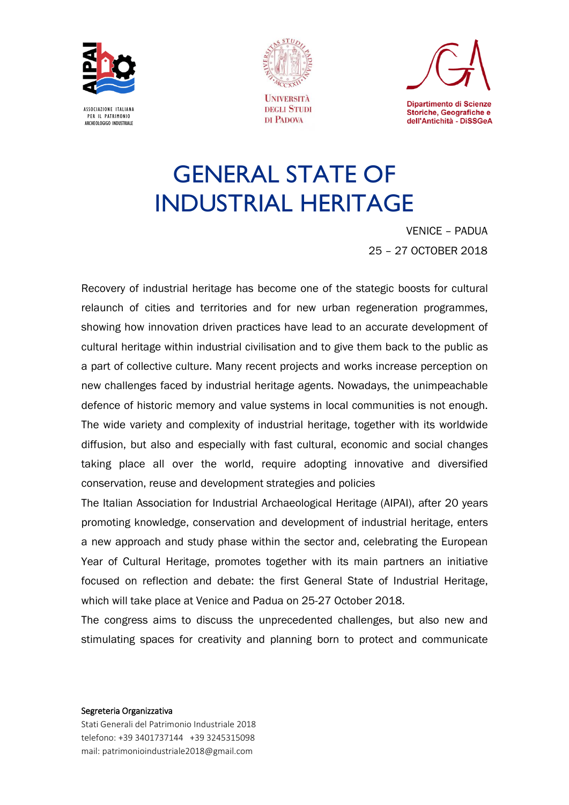





# GENERAL STATE OF INDUSTRIAL HERITAGE

VENICE – PADUA 25 – 27 OCTOBER 2018

Recovery of industrial heritage has become one of the stategic boosts for cultural relaunch of cities and territories and for new urban regeneration programmes, showing how innovation driven practices have lead to an accurate development of cultural heritage within industrial civilisation and to give them back to the public as a part of collective culture. Many recent projects and works increase perception on new challenges faced by industrial heritage agents. Nowadays, the unimpeachable defence of historic memory and value systems in local communities is not enough. The wide variety and complexity of industrial heritage, together with its worldwide diffusion, but also and especially with fast cultural, economic and social changes taking place all over the world, require adopting innovative and diversified conservation, reuse and development strategies and policies

The Italian Association for Industrial Archaeological Heritage (AIPAI), after 20 years promoting knowledge, conservation and development of industrial heritage, enters a new approach and study phase within the sector and, celebrating the European Year of Cultural Heritage, promotes together with its main partners an initiative focused on reflection and debate: the first General State of Industrial Heritage, which will take place at Venice and Padua on 25-27 October 2018.

The congress aims to discuss the unprecedented challenges, but also new and stimulating spaces for creativity and planning born to protect and communicate

#### Segreteria Organizzativa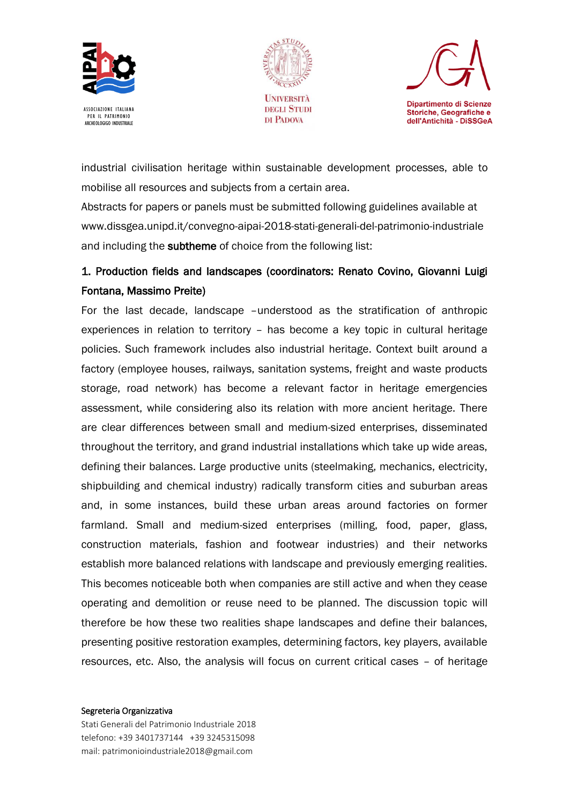





industrial civilisation heritage within sustainable development processes, able to mobilise all resources and subjects from a certain area.

Abstracts for papers or panels must be submitted following guidelines available at www.dissgea.unipd.it/convegno-aipai-2018-stati-generali-del-patrimonio-industriale and including the subtheme of choice from the following list:

# 1. Production fields and landscapes (coordinators: Renato Covino, Giovanni Luigi Fontana, Massimo Preite)

For the last decade, landscape –understood as the stratification of anthropic experiences in relation to territory – has become a key topic in cultural heritage policies. Such framework includes also industrial heritage. Context built around a factory (employee houses, railways, sanitation systems, freight and waste products storage, road network) has become a relevant factor in heritage emergencies assessment, while considering also its relation with more ancient heritage. There are clear differences between small and medium-sized enterprises, disseminated throughout the territory, and grand industrial installations which take up wide areas, defining their balances. Large productive units (steelmaking, mechanics, electricity, shipbuilding and chemical industry) radically transform cities and suburban areas and, in some instances, build these urban areas around factories on former farmland. Small and medium-sized enterprises (milling, food, paper, glass, construction materials, fashion and footwear industries) and their networks establish more balanced relations with landscape and previously emerging realities. This becomes noticeable both when companies are still active and when they cease operating and demolition or reuse need to be planned. The discussion topic will therefore be how these two realities shape landscapes and define their balances, presenting positive restoration examples, determining factors, key players, available resources, etc. Also, the analysis will focus on current critical cases – of heritage

#### Segreteria Organizzativa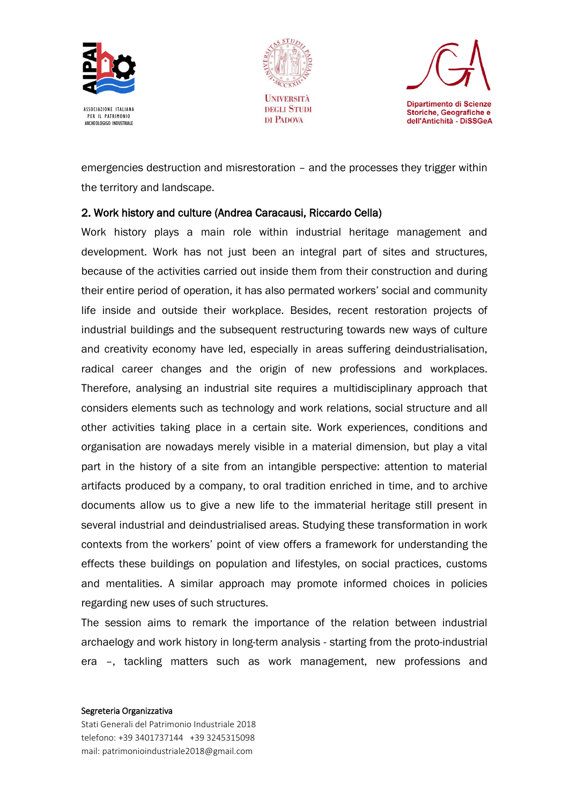





emergencies destruction and misrestoration – and the processes they trigger within the territory and landscape.

### 2. Work history and culture (Andrea Caracausi, Riccardo Cella)

Work history plays a main role within industrial heritage management and development. Work has not just been an integral part of sites and structures, because of the activities carried out inside them from their construction and during their entire period of operation, it has also permated workers' social and community life inside and outside their workplace. Besides, recent restoration projects of industrial buildings and the subsequent restructuring towards new ways of culture and creativity economy have led, especially in areas suffering deindustrialisation, radical career changes and the origin of new professions and workplaces. Therefore, analysing an industrial site requires a multidisciplinary approach that considers elements such as technology and work relations, social structure and all other activities taking place in a certain site. Work experiences, conditions and organisation are nowadays merely visible in a material dimension, but play a vital part in the history of a site from an intangible perspective: attention to material artifacts produced by a company, to oral tradition enriched in time, and to archive documents allow us to give a new life to the immaterial heritage still present in several industrial and deindustrialised areas. Studying these transformation in work contexts from the workers' point of view offers a framework for understanding the effects these buildings on population and lifestyles, on social practices, customs and mentalities. A similar approach may promote informed choices in policies regarding new uses of such structures.

The session aims to remark the importance of the relation between industrial archaelogy and work history in long-term analysis - starting from the proto-industrial era –, tackling matters such as work management, new professions and

#### Segreteria Organizzativa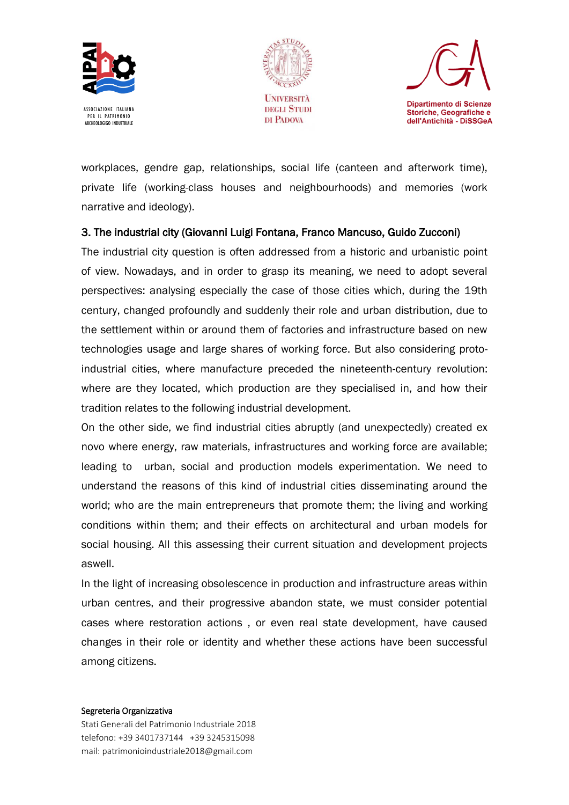





workplaces, gendre gap, relationships, social life (canteen and afterwork time), private life (working-class houses and neighbourhoods) and memories (work narrative and ideology).

## 3. The industrial city (Giovanni Luigi Fontana, Franco Mancuso, Guido Zucconi)

The industrial city question is often addressed from a historic and urbanistic point of view. Nowadays, and in order to grasp its meaning, we need to adopt several perspectives: analysing especially the case of those cities which, during the 19th century, changed profoundly and suddenly their role and urban distribution, due to the settlement within or around them of factories and infrastructure based on new technologies usage and large shares of working force. But also considering protoindustrial cities, where manufacture preceded the nineteenth-century revolution: where are they located, which production are they specialised in, and how their tradition relates to the following industrial development.

On the other side, we find industrial cities abruptly (and unexpectedly) created ex novo where energy, raw materials, infrastructures and working force are available; leading to urban, social and production models experimentation. We need to understand the reasons of this kind of industrial cities disseminating around the world; who are the main entrepreneurs that promote them; the living and working conditions within them; and their effects on architectural and urban models for social housing. All this assessing their current situation and development projects aswell.

In the light of increasing obsolescence in production and infrastructure areas within urban centres, and their progressive abandon state, we must consider potential cases where restoration actions , or even real state development, have caused changes in their role or identity and whether these actions have been successful among citizens.

#### Segreteria Organizzativa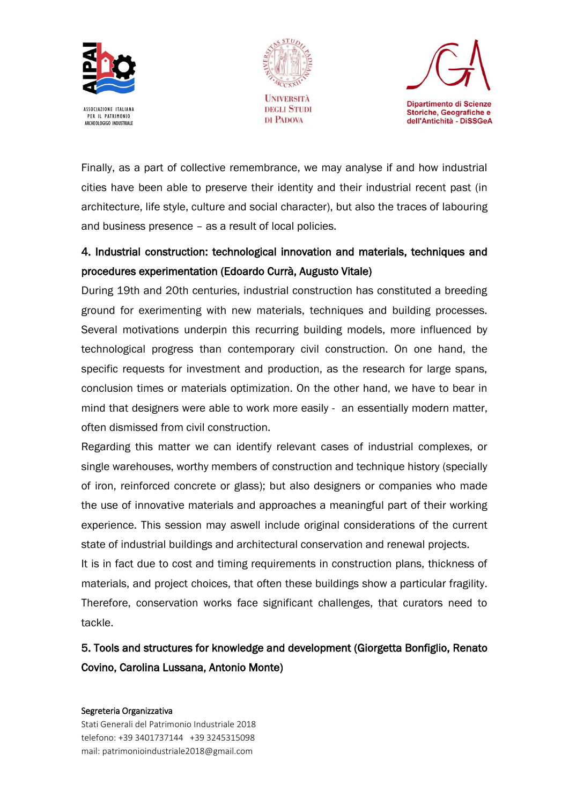





Finally, as a part of collective remembrance, we may analyse if and how industrial cities have been able to preserve their identity and their industrial recent past (in architecture, life style, culture and social character), but also the traces of labouring and business presence – as a result of local policies.

# 4. Industrial construction: technological innovation and materials, techniques and procedures experimentation (Edoardo Currà, Augusto Vitale)

During 19th and 20th centuries, industrial construction has constituted a breeding ground for exerimenting with new materials, techniques and building processes. Several motivations underpin this recurring building models, more influenced by technological progress than contemporary civil construction. On one hand, the specific requests for investment and production, as the research for large spans, conclusion times or materials optimization. On the other hand, we have to bear in mind that designers were able to work more easily - an essentially modern matter, often dismissed from civil construction.

Regarding this matter we can identify relevant cases of industrial complexes, or single warehouses, worthy members of construction and technique history (specially of iron, reinforced concrete or glass); but also designers or companies who made the use of innovative materials and approaches a meaningful part of their working experience. This session may aswell include original considerations of the current state of industrial buildings and architectural conservation and renewal projects.

It is in fact due to cost and timing requirements in construction plans, thickness of materials, and project choices, that often these buildings show a particular fragility. Therefore, conservation works face significant challenges, that curators need to tackle.

# 5. Tools and structures for knowledge and development (Giorgetta Bonfiglio, Renato Covino, Carolina Lussana, Antonio Monte)

#### Segreteria Organizzativa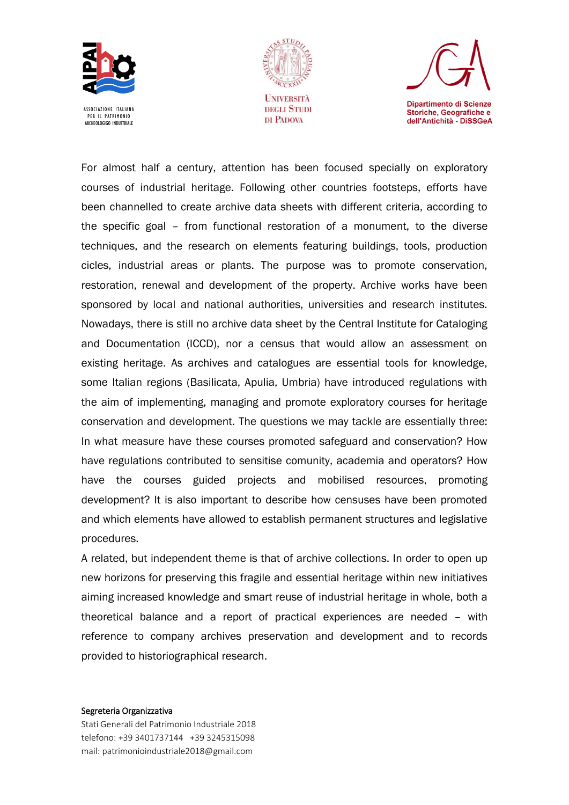





For almost half a century, attention has been focused specially on exploratory courses of industrial heritage. Following other countries footsteps, efforts have been channelled to create archive data sheets with different criteria, according to the specific goal – from functional restoration of a monument, to the diverse techniques, and the research on elements featuring buildings, tools, production cicles, industrial areas or plants. The purpose was to promote conservation, restoration, renewal and development of the property. Archive works have been sponsored by local and national authorities, universities and research institutes. Nowadays, there is still no archive data sheet by the Central Institute for Cataloging and Documentation (ICCD), nor a census that would allow an assessment on existing heritage. As archives and catalogues are essential tools for knowledge, some Italian regions (Basilicata, Apulia, Umbria) have introduced regulations with the aim of implementing, managing and promote exploratory courses for heritage conservation and development. The questions we may tackle are essentially three: In what measure have these courses promoted safeguard and conservation? How have regulations contributed to sensitise comunity, academia and operators? How have the courses guided projects and mobilised resources, promoting development? It is also important to describe how censuses have been promoted and which elements have allowed to establish permanent structures and legislative procedures.

A related, but independent theme is that of archive collections. In order to open up new horizons for preserving this fragile and essential heritage within new initiatives aiming increased knowledge and smart reuse of industrial heritage in whole, both a theoretical balance and a report of practical experiences are needed – with reference to company archives preservation and development and to records provided to historiographical research.

#### Segreteria Organizzativa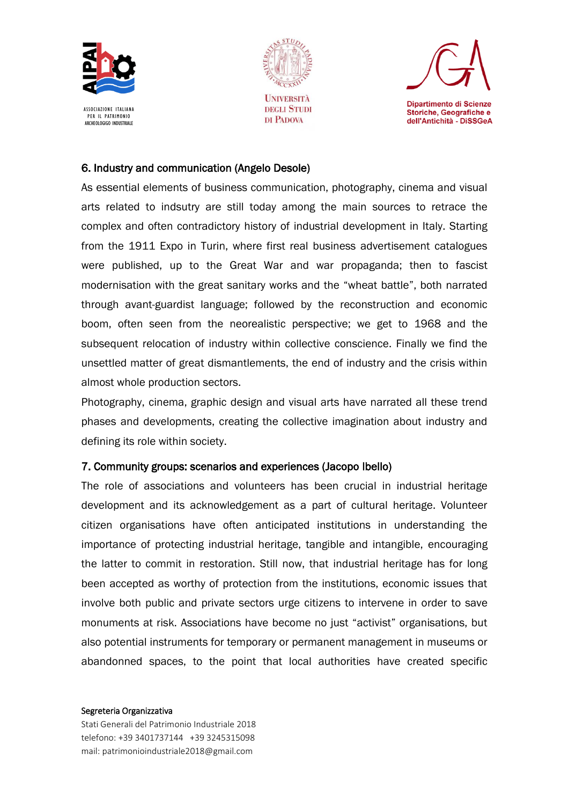





### 6. Industry and communication (Angelo Desole)

As essential elements of business communication, photography, cinema and visual arts related to indsutry are still today among the main sources to retrace the complex and often contradictory history of industrial development in Italy. Starting from the 1911 Expo in Turin, where first real business advertisement catalogues were published, up to the Great War and war propaganda; then to fascist modernisation with the great sanitary works and the "wheat battle", both narrated through avant-guardist language; followed by the reconstruction and economic boom, often seen from the neorealistic perspective; we get to 1968 and the subsequent relocation of industry within collective conscience. Finally we find the unsettled matter of great dismantlements, the end of industry and the crisis within almost whole production sectors.

Photography, cinema, graphic design and visual arts have narrated all these trend phases and developments, creating the collective imagination about industry and defining its role within society.

### 7. Community groups: scenarios and experiences (Jacopo Ibello)

The role of associations and volunteers has been crucial in industrial heritage development and its acknowledgement as a part of cultural heritage. Volunteer citizen organisations have often anticipated institutions in understanding the importance of protecting industrial heritage, tangible and intangible, encouraging the latter to commit in restoration. Still now, that industrial heritage has for long been accepted as worthy of protection from the institutions, economic issues that involve both public and private sectors urge citizens to intervene in order to save monuments at risk. Associations have become no just "activist" organisations, but also potential instruments for temporary or permanent management in museums or abandonned spaces, to the point that local authorities have created specific

#### Segreteria Organizzativa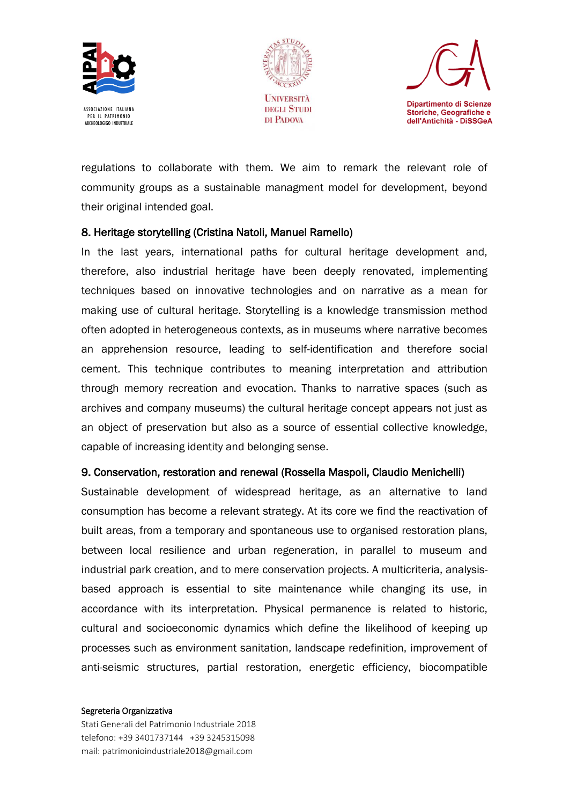





regulations to collaborate with them. We aim to remark the relevant role of community groups as a sustainable managment model for development, beyond their original intended goal.

### 8. Heritage storytelling (Cristina Natoli, Manuel Ramello)

In the last years, international paths for cultural heritage development and, therefore, also industrial heritage have been deeply renovated, implementing techniques based on innovative technologies and on narrative as a mean for making use of cultural heritage. Storytelling is a knowledge transmission method often adopted in heterogeneous contexts, as in museums where narrative becomes an apprehension resource, leading to self-identification and therefore social cement. This technique contributes to meaning interpretation and attribution through memory recreation and evocation. Thanks to narrative spaces (such as archives and company museums) the cultural heritage concept appears not just as an object of preservation but also as a source of essential collective knowledge, capable of increasing identity and belonging sense.

#### 9. Conservation, restoration and renewal (Rossella Maspoli, Claudio Menichelli)

Sustainable development of widespread heritage, as an alternative to land consumption has become a relevant strategy. At its core we find the reactivation of built areas, from a temporary and spontaneous use to organised restoration plans, between local resilience and urban regeneration, in parallel to museum and industrial park creation, and to mere conservation projects. A multicriteria, analysisbased approach is essential to site maintenance while changing its use, in accordance with its interpretation. Physical permanence is related to historic, cultural and socioeconomic dynamics which define the likelihood of keeping up processes such as environment sanitation, landscape redefinition, improvement of anti-seismic structures, partial restoration, energetic efficiency, biocompatible

#### Segreteria Organizzativa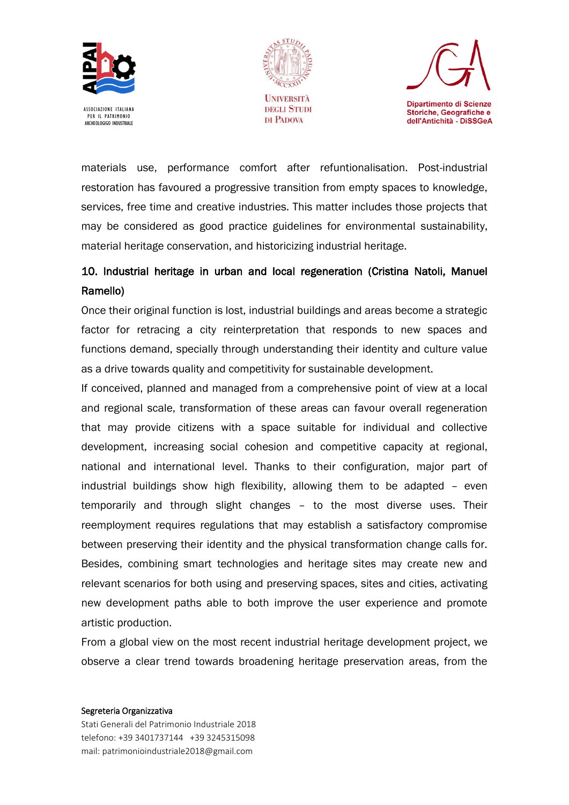





materials use, performance comfort after refuntionalisation. Post-industrial restoration has favoured a progressive transition from empty spaces to knowledge, services, free time and creative industries. This matter includes those projects that may be considered as good practice guidelines for environmental sustainability, material heritage conservation, and historicizing industrial heritage.

# 10. Industrial heritage in urban and local regeneration (Cristina Natoli, Manuel Ramello)

Once their original function is lost, industrial buildings and areas become a strategic factor for retracing a city reinterpretation that responds to new spaces and functions demand, specially through understanding their identity and culture value as a drive towards quality and competitivity for sustainable development.

If conceived, planned and managed from a comprehensive point of view at a local and regional scale, transformation of these areas can favour overall regeneration that may provide citizens with a space suitable for individual and collective development, increasing social cohesion and competitive capacity at regional, national and international level. Thanks to their configuration, major part of industrial buildings show high flexibility, allowing them to be adapted – even temporarily and through slight changes – to the most diverse uses. Their reemployment requires regulations that may establish a satisfactory compromise between preserving their identity and the physical transformation change calls for. Besides, combining smart technologies and heritage sites may create new and relevant scenarios for both using and preserving spaces, sites and cities, activating new development paths able to both improve the user experience and promote artistic production.

From a global view on the most recent industrial heritage development project, we observe a clear trend towards broadening heritage preservation areas, from the

#### Segreteria Organizzativa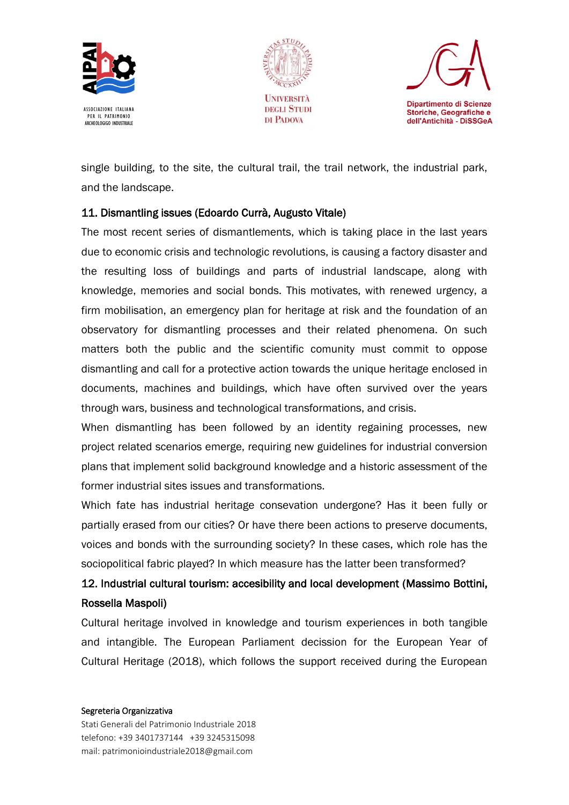





single building, to the site, the cultural trail, the trail network, the industrial park, and the landscape.

# 11. Dismantling issues (Edoardo Currà, Augusto Vitale)

The most recent series of dismantlements, which is taking place in the last years due to economic crisis and technologic revolutions, is causing a factory disaster and the resulting loss of buildings and parts of industrial landscape, along with knowledge, memories and social bonds. This motivates, with renewed urgency, a firm mobilisation, an emergency plan for heritage at risk and the foundation of an observatory for dismantling processes and their related phenomena. On such matters both the public and the scientific comunity must commit to oppose dismantling and call for a protective action towards the unique heritage enclosed in documents, machines and buildings, which have often survived over the years through wars, business and technological transformations, and crisis.

When dismantling has been followed by an identity regaining processes, new project related scenarios emerge, requiring new guidelines for industrial conversion plans that implement solid background knowledge and a historic assessment of the former industrial sites issues and transformations.

Which fate has industrial heritage consevation undergone? Has it been fully or partially erased from our cities? Or have there been actions to preserve documents, voices and bonds with the surrounding society? In these cases, which role has the sociopolitical fabric played? In which measure has the latter been transformed?

# 12. Industrial cultural tourism: accesibility and local development (Massimo Bottini, Rossella Maspoli)

Cultural heritage involved in knowledge and tourism experiences in both tangible and intangible. The European Parliament decission for the European Year of Cultural Heritage (2018), which follows the support received during the European

#### Segreteria Organizzativa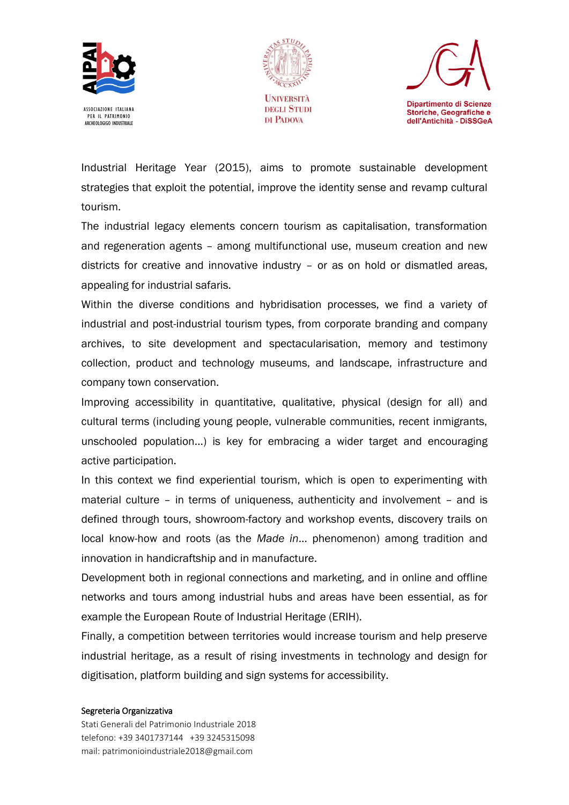





Industrial Heritage Year (2015), aims to promote sustainable development strategies that exploit the potential, improve the identity sense and revamp cultural tourism.

The industrial legacy elements concern tourism as capitalisation, transformation and regeneration agents – among multifunctional use, museum creation and new districts for creative and innovative industry – or as on hold or dismatled areas, appealing for industrial safaris.

Within the diverse conditions and hybridisation processes, we find a variety of industrial and post-industrial tourism types, from corporate branding and company archives, to site development and spectacularisation, memory and testimony collection, product and technology museums, and landscape, infrastructure and company town conservation.

Improving accessibility in quantitative, qualitative, physical (design for all) and cultural terms (including young people, vulnerable communities, recent inmigrants, unschooled population...) is key for embracing a wider target and encouraging active participation.

In this context we find experiential tourism, which is open to experimenting with material culture – in terms of uniqueness, authenticity and involvement – and is defined through tours, showroom-factory and workshop events, discovery trails on local know-how and roots (as the *Made in*... phenomenon) among tradition and innovation in handicraftship and in manufacture.

Development both in regional connections and marketing, and in online and offline networks and tours among industrial hubs and areas have been essential, as for example the European Route of Industrial Heritage (ERIH).

Finally, a competition between territories would increase tourism and help preserve industrial heritage, as a result of rising investments in technology and design for digitisation, platform building and sign systems for accessibility.

#### Segreteria Organizzativa